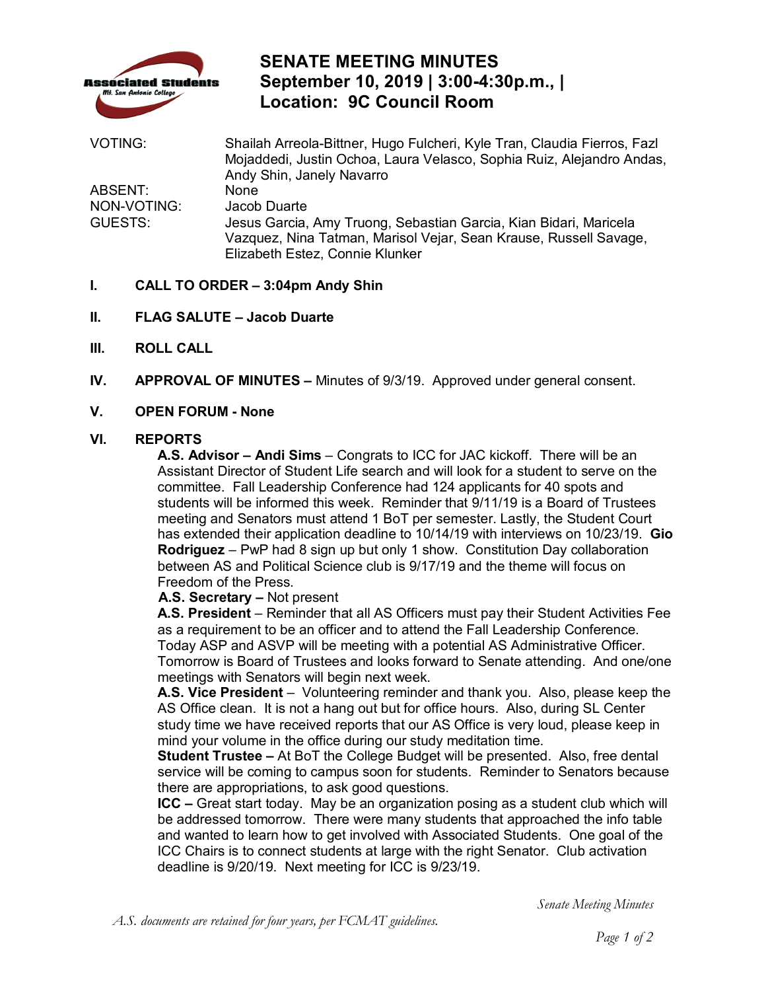

# **SENATE MEETING MINUTES September 10, 2019 | 3:00-4:30p.m., | Location: 9C Council Room**

| VOTING:                           | Shailah Arreola-Bittner, Hugo Fulcheri, Kyle Tran, Claudia Fierros, Fazl<br>Mojaddedi, Justin Ochoa, Laura Velasco, Sophia Ruiz, Alejandro Andas,<br>Andy Shin, Janely Navarro |
|-----------------------------------|--------------------------------------------------------------------------------------------------------------------------------------------------------------------------------|
| ABSENT:<br>NON-VOTING:<br>GUESTS: | None<br>Jacob Duarte<br>Jesus Garcia, Amy Truong, Sebastian Garcia, Kian Bidari, Maricela                                                                                      |
|                                   | Vazquez, Nina Tatman, Marisol Vejar, Sean Krause, Russell Savage,<br>Elizabeth Estez, Connie Klunker                                                                           |

## **I. CALL TO ORDER – 3:04pm Andy Shin**

- **II. FLAG SALUTE Jacob Duarte**
- **III. ROLL CALL**
- **IV. APPROVAL OF MINUTES** Minutes of 9/3/19. Approved under general consent.

## **V. OPEN FORUM - None**

#### **VI. REPORTS**

 **A.S. Advisor – Andi Sims** – Congrats to ICC for JAC kickoff. There will be an Assistant Director of Student Life search and will look for a student to serve on the students will be informed this week. Reminder that 9/11/19 is a Board of Trustees meeting and Senators must attend 1 BoT per semester. Lastly, the Student Court Freedom of the Press. committee. Fall Leadership Conference had 124 applicants for 40 spots and has extended their application deadline to 10/14/19 with interviews on 10/23/19. **Gio Rodriguez** – PwP had 8 sign up but only 1 show. Constitution Day collaboration between AS and Political Science club is 9/17/19 and the theme will focus on

**A.S. Secretary –** Not present

 **A.S. President** – Reminder that all AS Officers must pay their Student Activities Fee as a requirement to be an officer and to attend the Fall Leadership Conference. Today ASP and ASVP will be meeting with a potential AS Administrative Officer. Tomorrow is Board of Trustees and looks forward to Senate attending. And one/one meetings with Senators will begin next week.

 **A.S. Vice President** – Volunteering reminder and thank you. Also, please keep the AS Office clean. It is not a hang out but for office hours. Also, during SL Center mind your volume in the office during our study meditation time. study time we have received reports that our AS Office is very loud, please keep in

 **Student Trustee –** At BoT the College Budget will be presented. Also, free dental there are appropriations, to ask good questions. service will be coming to campus soon for students. Reminder to Senators because

 **ICC –** Great start today. May be an organization posing as a student club which will ICC Chairs is to connect students at large with the right Senator. Club activation be addressed tomorrow. There were many students that approached the info table and wanted to learn how to get involved with Associated Students. One goal of the deadline is 9/20/19. Next meeting for ICC is 9/23/19.

*Senate Meeting Minutes*